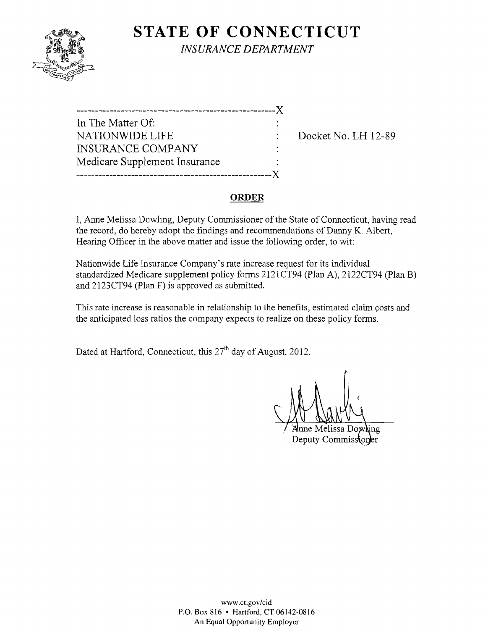

**STATE OF CONNECTICUT** *INSURANCE DEPARTMENT* 

------------------------------------------------------)( In The Matter Of: NATIONWIDE LIFE : Docket No. LH 12-89 INSURANCE COMPANY Medicare Supplement Insurance -----------------------------------------------------)(

### **ORDER**

I, Anne Melissa Dowling, Deputy Commissioner of the State of Connecticut, having read the record, do hereby adopt the findings and recommendations of Danny K. Albert, Hearing Officer in the above matter and issue the following order, to wit:

Nationwide Life Insurance Company's rate increase request for its individual standardized Medicare supplement policy forms 2121 CT94 (Plan A), 2122CT94 (Plan B) and 2123CT94 (Plan F) is approved as submitted.

This rate increase is reasonable in relationship to the benefits, estimated claim costs and the anticipated loss ratios the company expects to realize on these policy forms.

Dated at Hartford, Connecticut, this  $27<sup>th</sup>$  day of August, 2012.

ne Melissa Dowling Deputy Commisstoner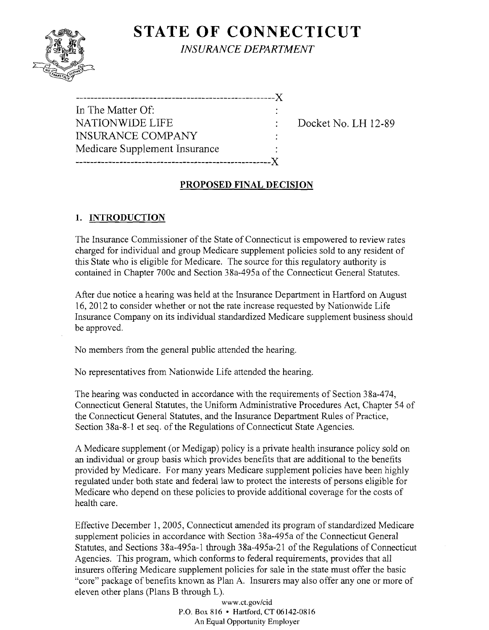# **STATE OF CONNECTICUT**



*INSURANCE DEPARTMENT* 

------------------------------------------------------)( In The Matter Of: NATIONWIDE LIFE : Docket No. I.H 12-89 INSURANCE CONIPANY Medicare Supplement Insurance -----------------------------------------------------)(

### **PROPOSED FINAL DECISION**

## **1. INTRODUCTION**

The Insurance Commissioner of the State of Connecticut is empowered to review rates charged for individual and group Medicare supplement policies sold to any resident of this State who is eligible for Medicare. The source for this regulatory authority is contained in Chapter 700c and Section 38a-495a of the Connecticut General Statutes.

After due notice a hearing was held at the Insurance Department in Hartford on August 16,2012 to consider whether or not the rate increase requested by Nationwide Life Insurance Company on its individual standardized Medicare supplement business should be approved.

No members from the general public attended the hearing.

No representatives from Nationwide Life attended the hearing.

The hearing was conducted in accordance with the requirements of Section 38a-474, Connecticut General Statutes, the Uniform Administrative Procedures Act, Chapter 54 of the Connecticut General Statutes, and the Insurance Department Rules of Practice, Section 38a-8-1 et seq. of the Regulations of Connecticut State Agencies.

A Medicare supplement (or Medigap) policy is a private health insurance policy sold on an individual or group basis which provides benefits that are additional to the benefits provided by Medicare. For many years Medicare supplement policies have been highly regulated under both state and federal law to protect the interests of persons eligible for Medicare who depend on these policies to provide additional coverage for the costs of health care.

Effective December 1, 2005, Connecticut amended its program of standardized Medicare supplement policies in accordance with Section 38a-495a of the Connecticut General Statutes, and Sections 38a-495a-l through 38a-495a-2l of the Regulations of Connecticut Agencies. This program, which conforms to federal requirements, provides that all insurers offering Medicare supplement policies for sale in the state must offer the basic "core" package of benefits known as Plan A. Insurers may also offer anyone or more of eleven other plans (Plans B through L).

> *www.ct.gov/cid*  P.O. Box 816 • Hartford, CT 06142-0816 An Equal Opportunity Employer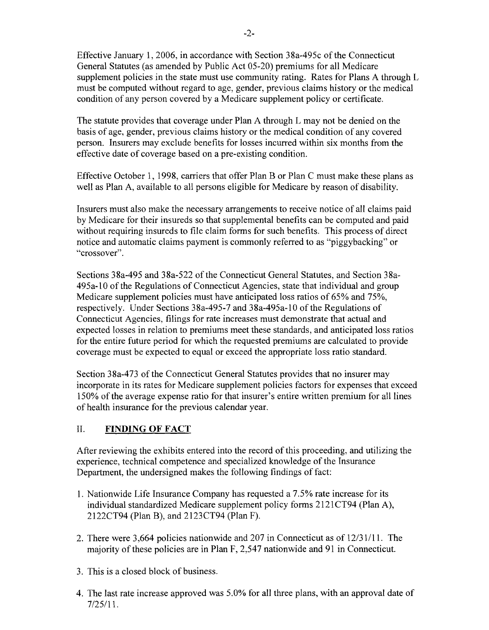Effective January 1,2006, in accordance with Section 38a-495c of the Connecticut General Statutes (as amended by Public Act 05-20) premiums for all Medicare supplement policies in the state must use community rating. Rates for Plans A through L must be computed without regard to age, gender, previous claims history or the medical condition of any person covered by a Medicare supplement policy or certificate.

The statute provides that coverage under Plan A through L may not be denied on the basis of age, gender, previous claims history or the medical condition of any covered person. Insurers may exclude benefits for losses incurred within six months from the effective date of coverage based on a pre-existing condition.

Effective October 1, 1998, carriers that offer Plan B or Plan C must make these plans as well as Plan A, available to all persons eligible for Medicare by reason of disability.

Insurers must also make the necessary arrangements to receive notice of all claims paid by Medicare for their insureds so that supplemental benefits can be computed and paid without requiring insureds to file claim forms for such benefits. This process of direct notice and automatic claims payment is commonly referred to as "piggybacking" or "crossover".

Sections 38a-495 and 38a-522 of the Connecticut General Statutes, and Section 38a-495a-IO of the Regulations of Connecticut Agencies, state that individual and group Medicare supplement policies must have anticipated loss ratios of 65% and 75%, respectively. Under Sections 38a-495-7 and 38a-495a-IO of the Regulations of Connecticut Agencies, filings for rate increases must demonstrate that actual and expected losses in relation to premiums meet these standards, and anticipated loss ratios for the entire future period for which the requested premiums are calculated to provide coverage must be expected to equal or exceed the appropriate loss ratio standard.

Section 38a-473 of the Connecticut General Statutes provides that no insurer may incorporate in its rates for Medicare supplement policies factors for expenses that exceed 150% of the average expense ratio for that insurer's entire written premium for all lines of health insurance for the previous calendar year.

#### II. **FINDING OF FACT**

After reviewing the exhibits entered into the record of this proceeding, and utilizing the experience, technical competence and specialized knowledge of the Insurance Department, the undersigned makes the following findings of fact:

- 1. Nationwide Life Insurance Company has requested a 7.5% rate increase for its individual standardized Medicare supplement policy forms 2121 CT94 (Plan A), 2122CT94 (Plan B), and 2123CT94 (Plan F).
- 2. There were 3,664 policies nationwide and 207 in Connecticut as of 12/31/11. The majority of these policies are in Plan F, 2,547 nationwide and 91 in Connecticut.
- 3. This is a closed block of business.
- 4. The last rate increase approved was 5.0% for all three plans, with an approval date of 7/25/11.